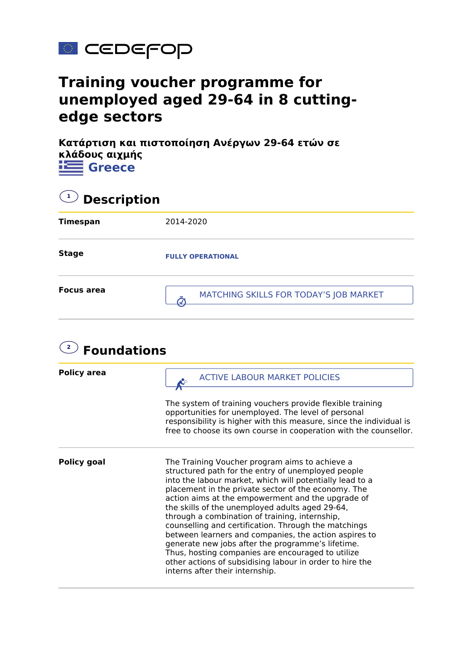

## **Training voucher programme for unemployed aged 29-64 in 8 cuttingedge sectors**

**Κατάρτιση και πιστοποίηση Ανέργων 29-64 ετών σε κλάδους αιχμής Greece**

| $\mathbf{Q}$ Description |                                        |  |
|--------------------------|----------------------------------------|--|
| <b>Timespan</b>          | 2014-2020                              |  |
| <b>Stage</b>             | <b>FULLY OPERATIONAL</b>               |  |
| <b>Focus area</b>        | MATCHING SKILLS FOR TODAY'S JOB MARKET |  |

| $\overline{2}$<br><b>Foundations</b> |                                                                                                                                                                                                                                                                                                                                                                                                                                                                                                                                                                                                                                                                                                             |  |
|--------------------------------------|-------------------------------------------------------------------------------------------------------------------------------------------------------------------------------------------------------------------------------------------------------------------------------------------------------------------------------------------------------------------------------------------------------------------------------------------------------------------------------------------------------------------------------------------------------------------------------------------------------------------------------------------------------------------------------------------------------------|--|
| <b>Policy area</b>                   | <b>ACTIVE LABOUR MARKET POLICIES</b>                                                                                                                                                                                                                                                                                                                                                                                                                                                                                                                                                                                                                                                                        |  |
|                                      | The system of training vouchers provide flexible training<br>opportunities for unemployed. The level of personal<br>responsibility is higher with this measure, since the individual is<br>free to choose its own course in cooperation with the counsellor.                                                                                                                                                                                                                                                                                                                                                                                                                                                |  |
| <b>Policy goal</b>                   | The Training Voucher program aims to achieve a<br>structured path for the entry of unemployed people<br>into the labour market, which will potentially lead to a<br>placement in the private sector of the economy. The<br>action aims at the empowerment and the upgrade of<br>the skills of the unemployed adults aged 29-64,<br>through a combination of training, internship,<br>counselling and certification. Through the matchings<br>between learners and companies, the action aspires to<br>generate new jobs after the programme's lifetime.<br>Thus, hosting companies are encouraged to utilize<br>other actions of subsidising labour in order to hire the<br>interns after their internship. |  |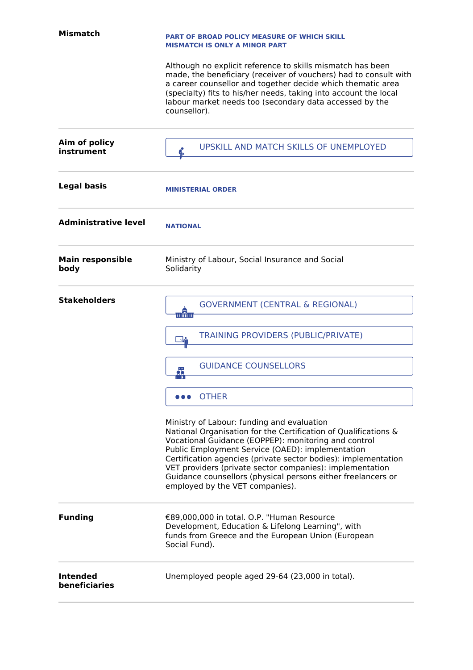| <b>Mismatch</b>                 | <b>PART OF BROAD POLICY MEASURE OF WHICH SKILL</b><br><b>MISMATCH IS ONLY A MINOR PART</b>                                                                                                                                                                                                                                                                                                                                                                 |
|---------------------------------|------------------------------------------------------------------------------------------------------------------------------------------------------------------------------------------------------------------------------------------------------------------------------------------------------------------------------------------------------------------------------------------------------------------------------------------------------------|
|                                 | Although no explicit reference to skills mismatch has been<br>made, the beneficiary (receiver of vouchers) had to consult with<br>a career counsellor and together decide which thematic area<br>(specialty) fits to his/her needs, taking into account the local<br>labour market needs too (secondary data accessed by the<br>counsellor).                                                                                                               |
| Aim of policy<br>instrument     | UPSKILL AND MATCH SKILLS OF UNEMPLOYED                                                                                                                                                                                                                                                                                                                                                                                                                     |
| <b>Legal basis</b>              | <b>MINISTERIAL ORDER</b>                                                                                                                                                                                                                                                                                                                                                                                                                                   |
| <b>Administrative level</b>     | <b>NATIONAL</b>                                                                                                                                                                                                                                                                                                                                                                                                                                            |
| <b>Main responsible</b><br>body | Ministry of Labour, Social Insurance and Social<br>Solidarity                                                                                                                                                                                                                                                                                                                                                                                              |
| <b>Stakeholders</b>             | <b>GOVERNMENT (CENTRAL &amp; REGIONAL)</b><br>正命宣                                                                                                                                                                                                                                                                                                                                                                                                          |
|                                 | <b>TRAINING PROVIDERS (PUBLIC/PRIVATE)</b><br>₩                                                                                                                                                                                                                                                                                                                                                                                                            |
|                                 | <b>GUIDANCE COUNSELLORS</b><br>5                                                                                                                                                                                                                                                                                                                                                                                                                           |
|                                 | <b>OTHER</b>                                                                                                                                                                                                                                                                                                                                                                                                                                               |
|                                 | Ministry of Labour: funding and evaluation<br>National Organisation for the Certification of Qualifications &<br>Vocational Guidance (EOPPEP): monitoring and control<br>Public Employment Service (OAED): implementation<br>Certification agencies (private sector bodies): implementation<br>VET providers (private sector companies): implementation<br>Guidance counsellors (physical persons either freelancers or<br>employed by the VET companies). |
| <b>Funding</b>                  | €89,000,000 in total. O.P. "Human Resource<br>Development, Education & Lifelong Learning", with<br>funds from Greece and the European Union (European<br>Social Fund).                                                                                                                                                                                                                                                                                     |
| Intended<br>beneficiaries       | Unemployed people aged 29-64 (23,000 in total).                                                                                                                                                                                                                                                                                                                                                                                                            |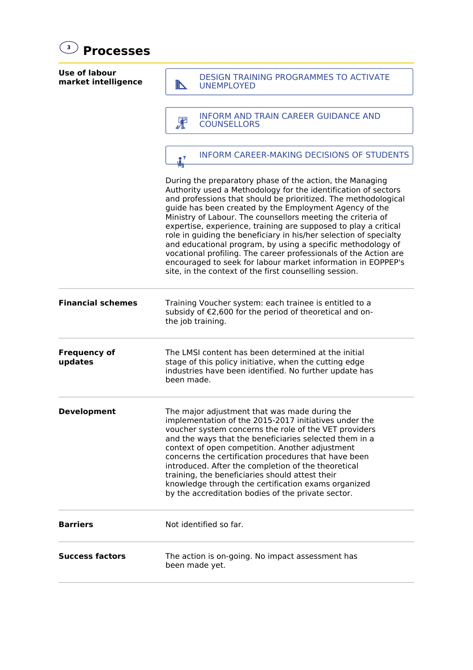| 3)<br><b>Processes</b>               |                                                                                                                                                                                                                                                                                                                                                                                                                                                                                                                                                                                                                                                                                                                            |  |
|--------------------------------------|----------------------------------------------------------------------------------------------------------------------------------------------------------------------------------------------------------------------------------------------------------------------------------------------------------------------------------------------------------------------------------------------------------------------------------------------------------------------------------------------------------------------------------------------------------------------------------------------------------------------------------------------------------------------------------------------------------------------------|--|
| Use of labour<br>market intelligence | <b>DESIGN TRAINING PROGRAMMES TO ACTIVATE</b><br>N<br><b>UNEMPLOYED</b>                                                                                                                                                                                                                                                                                                                                                                                                                                                                                                                                                                                                                                                    |  |
|                                      | INFORM AND TRAIN CAREER GUIDANCE AND<br>罪<br><b>COUNSELLORS</b>                                                                                                                                                                                                                                                                                                                                                                                                                                                                                                                                                                                                                                                            |  |
|                                      | <b>INFORM CAREER-MAKING DECISIONS OF STUDENTS</b><br>$^{\circ}$<br>УT                                                                                                                                                                                                                                                                                                                                                                                                                                                                                                                                                                                                                                                      |  |
|                                      | During the preparatory phase of the action, the Managing<br>Authority used a Methodology for the identification of sectors<br>and professions that should be prioritized. The methodological<br>guide has been created by the Employment Agency of the<br>Ministry of Labour. The counsellors meeting the criteria of<br>expertise, experience, training are supposed to play a critical<br>role in guiding the beneficiary in his/her selection of specialty<br>and educational program, by using a specific methodology of<br>vocational profiling. The career professionals of the Action are<br>encouraged to seek for labour market information in EOPPEP's<br>site, in the context of the first counselling session. |  |
| <b>Financial schemes</b>             | Training Voucher system: each trainee is entitled to a<br>subsidy of €2,600 for the period of theoretical and on-<br>the job training.                                                                                                                                                                                                                                                                                                                                                                                                                                                                                                                                                                                     |  |
| <b>Frequency of</b><br>updates       | The LMSI content has been determined at the initial<br>stage of this policy initiative, when the cutting edge<br>industries have been identified. No further update has<br>been made.                                                                                                                                                                                                                                                                                                                                                                                                                                                                                                                                      |  |
| <b>Development</b>                   | The major adjustment that was made during the<br>implementation of the 2015-2017 initiatives under the<br>voucher system concerns the role of the VET providers<br>and the ways that the beneficiaries selected them in a<br>context of open competition. Another adjustment<br>concerns the certification procedures that have been<br>introduced. After the completion of the theoretical<br>training, the beneficiaries should attest their<br>knowledge through the certification exams organized<br>by the accreditation bodies of the private sector.                                                                                                                                                                |  |
| <b>Barriers</b>                      | Not identified so far.                                                                                                                                                                                                                                                                                                                                                                                                                                                                                                                                                                                                                                                                                                     |  |
| <b>Success factors</b>               | The action is on-going. No impact assessment has<br>been made yet.                                                                                                                                                                                                                                                                                                                                                                                                                                                                                                                                                                                                                                                         |  |
|                                      |                                                                                                                                                                                                                                                                                                                                                                                                                                                                                                                                                                                                                                                                                                                            |  |